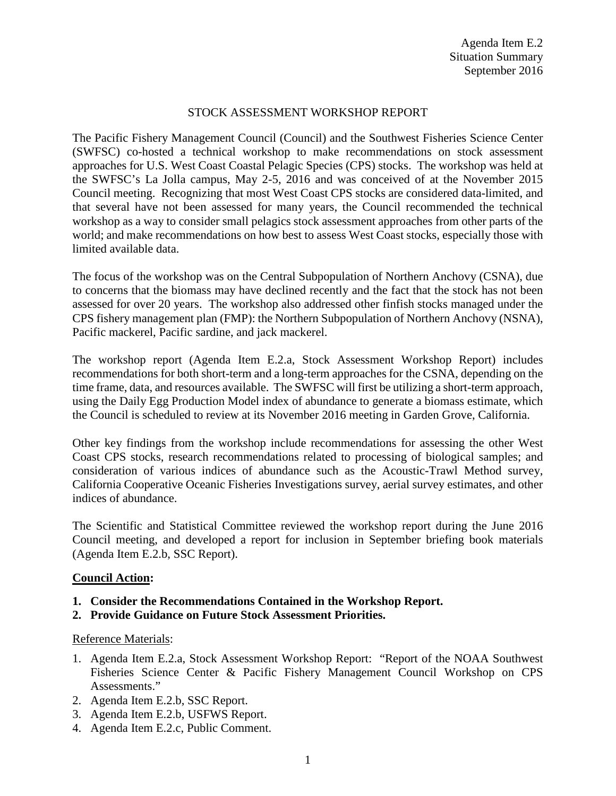## STOCK ASSESSMENT WORKSHOP REPORT

The Pacific Fishery Management Council (Council) and the Southwest Fisheries Science Center (SWFSC) co-hosted a technical workshop to make recommendations on stock assessment approaches for U.S. West Coast Coastal Pelagic Species (CPS) stocks. The workshop was held at the SWFSC's La Jolla campus, May 2-5, 2016 and was conceived of at the November 2015 Council meeting. Recognizing that most West Coast CPS stocks are considered data-limited, and that several have not been assessed for many years, the Council recommended the technical workshop as a way to consider small pelagics stock assessment approaches from other parts of the world; and make recommendations on how best to assess West Coast stocks, especially those with limited available data.

The focus of the workshop was on the Central Subpopulation of Northern Anchovy (CSNA), due to concerns that the biomass may have declined recently and the fact that the stock has not been assessed for over 20 years. The workshop also addressed other finfish stocks managed under the CPS fishery management plan (FMP): the Northern Subpopulation of Northern Anchovy (NSNA), Pacific mackerel, Pacific sardine, and jack mackerel.

The workshop report (Agenda Item E.2.a, Stock Assessment Workshop Report) includes recommendations for both short-term and a long-term approaches for the CSNA, depending on the time frame, data, and resources available. The SWFSC will first be utilizing a short-term approach, using the Daily Egg Production Model index of abundance to generate a biomass estimate, which the Council is scheduled to review at its November 2016 meeting in Garden Grove, California.

Other key findings from the workshop include recommendations for assessing the other West Coast CPS stocks, research recommendations related to processing of biological samples; and consideration of various indices of abundance such as the Acoustic-Trawl Method survey, California Cooperative Oceanic Fisheries Investigations survey, aerial survey estimates, and other indices of abundance.

The Scientific and Statistical Committee reviewed the workshop report during the June 2016 Council meeting, and developed a report for inclusion in September briefing book materials (Agenda Item E.2.b, SSC Report).

## **Council Action:**

- **1. Consider the Recommendations Contained in the Workshop Report.**
- **2. Provide Guidance on Future Stock Assessment Priorities.**

## Reference Materials:

- 1. Agenda Item E.2.a, Stock Assessment Workshop Report: "Report of the NOAA Southwest Fisheries Science Center & Pacific Fishery Management Council Workshop on CPS Assessments."
- 2. Agenda Item E.2.b, SSC Report.
- 3. Agenda Item E.2.b, USFWS Report.
- 4. Agenda Item E.2.c, Public Comment.